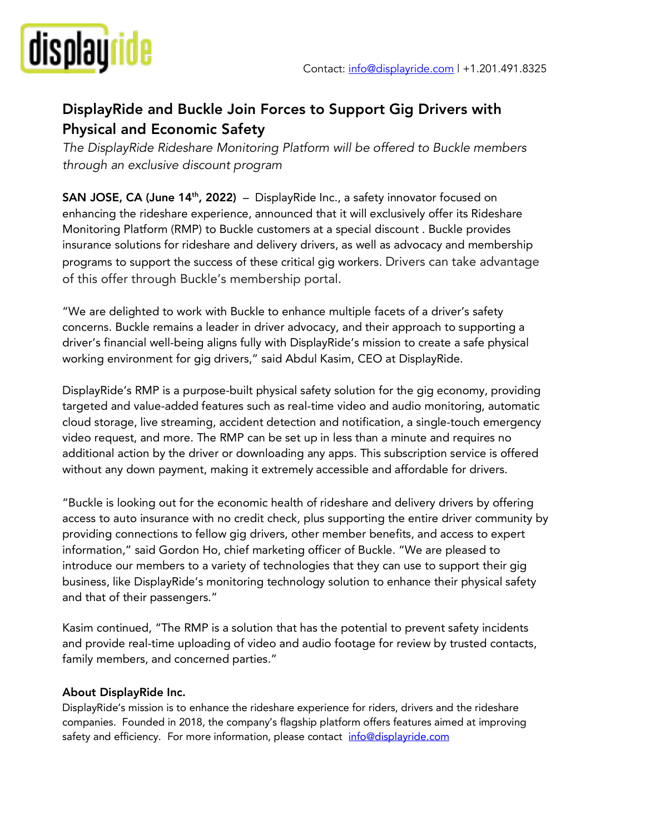

# DisplayRide and Buckle Join Forces to Support Gig Drivers with Physical and Economic Safety

*The DisplayRide Rideshare Monitoring Platform will be offered to Buckle members through an exclusive discount program*

SAN JOSE, CA (June 14<sup>th</sup>, 2022) – DisplayRide Inc., a safety innovator focused on enhancing the rideshare experience, announced that it will exclusively offer its Rideshare Monitoring Platform (RMP) to Buckle customers at a special discount . Buckle provides insurance solutions for rideshare and delivery drivers, as well as advocacy and membership programs to support the success of these critical gig workers. Drivers can take advantage of this offer through Buckle's membership portal.

"We are delighted to work with Buckle to enhance multiple facets of a driver's safety concerns. Buckle remains a leader in driver advocacy, and their approach to supporting a driver's financial well-being aligns fully with DisplayRide's mission to create a safe physical working environment for gig drivers," said Abdul Kasim, CEO at DisplayRide.

DisplayRide's RMP is a purpose-built physical safety solution for the gig economy, providing targeted and value-added features such as real-time video and audio monitoring, automatic cloud storage, live streaming, accident detection and notification, a single-touch emergency video request, and more. The RMP can be set up in less than a minute and requires no additional action by the driver or downloading any apps. This subscription service is offered without any down payment, making it extremely accessible and affordable for drivers.

"Buckle is looking out for the economic health of rideshare and delivery drivers by offering access to auto insurance with no credit check, plus supporting the entire driver community by providing connections to fellow gig drivers, other member benefits, and access to expert information," said Gordon Ho, chief marketing officer of Buckle. "We are pleased to introduce our members to a variety of technologies that they can use to support their gig business, like DisplayRide's monitoring technology solution to enhance their physical safety and that of their passengers."

Kasim continued, "The RMP is a solution that has the potential to prevent safety incidents and provide real-time uploading of video and audio footage for review by trusted contacts, family members, and concerned parties."

## About DisplayRide Inc.

DisplayRide's mission is to enhance the rideshare experience for riders, drivers and the rideshare companies. Founded in 2018, the company's flagship platform offers features aimed at improving safety and efficiency. For more information, please contact info@displayride.com